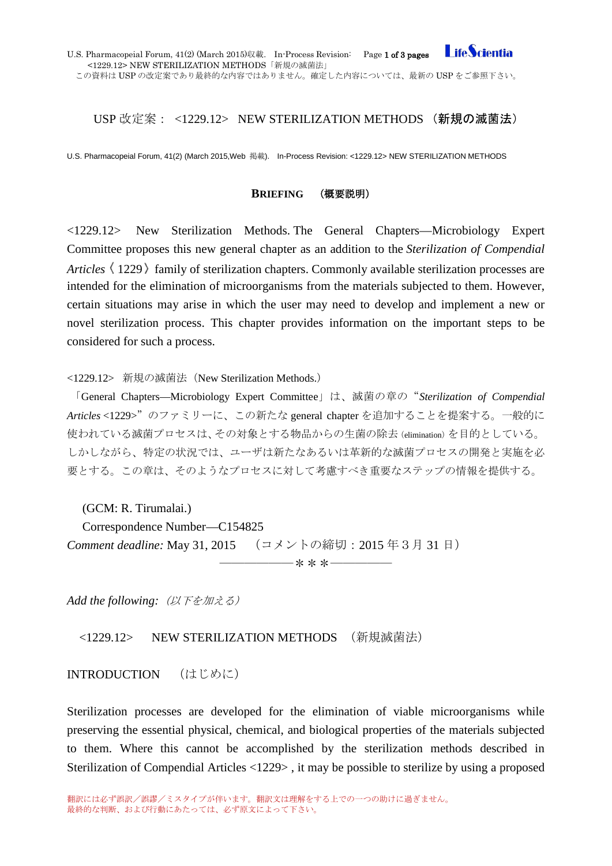# USP 改定案: <1229.12> NEW STERILIZATION METHODS (新規の滅菌法)

U.S. Pharmacopeial Forum, 41(2) (March 2015,Web 掲載). In-Process Revision: <1229.12> NEW STERILIZATION METHODS

### **BRIEFING** (概要説明)

<1229.12> New Sterilization Methods. The General Chapters—Microbiology Expert Committee proposes this new general chapter as an addition to the *Sterilization of Compendial Articles* (1229) family of sterilization chapters. Commonly available sterilization processes are intended for the elimination of microorganisms from the materials subjected to them. However, certain situations may arise in which the user may need to develop and implement a new or novel sterilization process. This chapter provides information on the important steps to be considered for such a process.

<1229.12> 新規の滅菌法(New Sterilization Methods.)

「General Chapters—Microbiology Expert Committee」は、滅菌の章の"*Sterilization of Compendial Articles* <1229>"のファミリーに、この新たな general chapter を追加することを提案する。一般的に 使われている滅菌プロセスは、その対象とする物品からの生菌の除去(elimination)を目的としている。 しかしながら、特定の状況では、ユーザは新たなあるいは革新的な滅菌プロセスの開発と実施を必 要とする。この章は、そのようなプロセスに対して考慮すべき重要なステップの情報を提供する。

――――――\*\*\*―――――

(GCM: R. Tirumalai.)

Correspondence Number—C154825 *Comment deadline:* May 31, 2015 (コメントの締切:2015 年3月 31 日)

*Add the following:*(以下を加える)

<1229.12> NEW STERILIZATION METHODS (新規滅菌法)

INTRODUCTION (はじめに)

Sterilization processes are developed for the elimination of viable microorganisms while preserving the essential physical, chemical, and biological properties of the materials subjected to them. Where this cannot be accomplished by the sterilization methods described in Sterilization of Compendial Articles <1229> , it may be possible to sterilize by using a proposed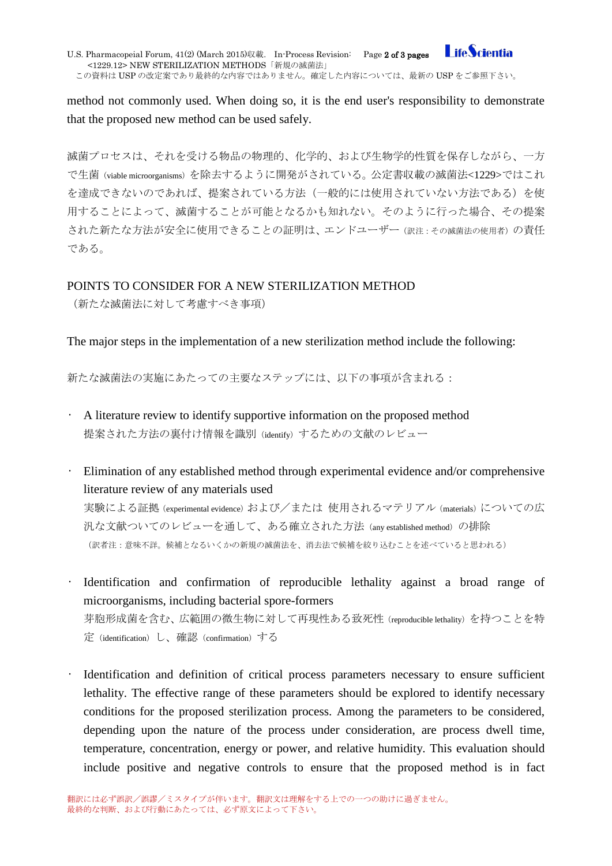**Life**Scientia U.S. Pharmacopeial Forum, 41(2) (March 2015)収載. In-Process Revision: Page 2 of 3 pages <1229.12> NEW STERILIZATION METHODS「新規の滅菌法」 この資料は USP の改定案であり最終的な内容ではありません。確定した内容については、最新の USP をご参照下さい。

method not commonly used. When doing so, it is the end user's responsibility to demonstrate that the proposed new method can be used safely.

滅菌プロセスは、それを受ける物品の物理的、化学的、および生物学的性質を保存しながら、一方 で生菌(viable microorganisms)を除去するように開発がされている。公定書収載の滅菌法<1229>ではこれ を達成できないのであれば、提案されている方法(一般的には使用されていない方法である)を使 用することによって、滅菌することが可能となるかも知れない。そのように行った場合、その提案 された新たな方法が安全に使用できることの証明は、エンドユーザー(訳注:その滅菌法の使用者)の責任 である。

## POINTS TO CONSIDER FOR A NEW STERILIZATION METHOD

(新たな滅菌法に対して考慮すべき事項)

The major steps in the implementation of a new sterilization method include the following:

新たな滅菌法の実施にあたっての主要なステップには、以下の事項が含まれる:

- A literature review to identify supportive information on the proposed method 提案された方法の裏付け情報を識別(identify)するための文献のレビュー
- Elimination of any established method through experimental evidence and/or comprehensive literature review of any materials used 実験による証拠 (experimental evidence) および/または 使用されるマテリアル (materials) についての広

汎な文献ついてのレビューを通して、ある確立された方法(any established method)の排除 (訳者注:意味不詳。候補となるいくかの新規の滅菌法を、消去法で候補を絞り込むことを述べていると思われる)

- Identification and confirmation of reproducible lethality against a broad range of microorganisms, including bacterial spore-formers 芽胞形成菌を含む、広範囲の微生物に対して再現性ある致死性(reproducible lethality)を持つことを特 定(identification)し、確認(confirmation)する
- Identification and definition of critical process parameters necessary to ensure sufficient lethality. The effective range of these parameters should be explored to identify necessary conditions for the proposed sterilization process. Among the parameters to be considered, depending upon the nature of the process under consideration, are process dwell time, temperature, concentration, energy or power, and relative humidity. This evaluation should include positive and negative controls to ensure that the proposed method is in fact